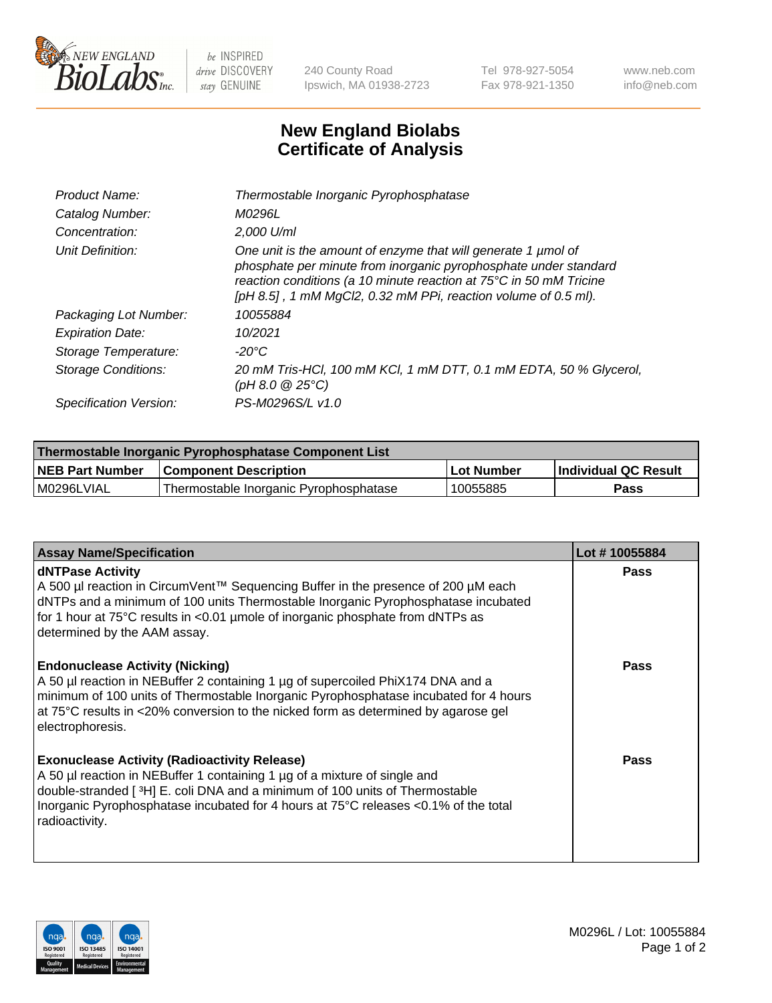

 $be$  INSPIRED drive DISCOVERY stay GENUINE

240 County Road Ipswich, MA 01938-2723 Tel 978-927-5054 Fax 978-921-1350 www.neb.com info@neb.com

## **New England Biolabs Certificate of Analysis**

| Product Name:              | Thermostable Inorganic Pyrophosphatase                                                                                                                                                                                                                                    |
|----------------------------|---------------------------------------------------------------------------------------------------------------------------------------------------------------------------------------------------------------------------------------------------------------------------|
| Catalog Number:            | M0296L                                                                                                                                                                                                                                                                    |
| Concentration:             | $2.000$ U/ml                                                                                                                                                                                                                                                              |
| Unit Definition:           | One unit is the amount of enzyme that will generate 1 µmol of<br>phosphate per minute from inorganic pyrophosphate under standard<br>reaction conditions (a 10 minute reaction at 75°C in 50 mM Tricine<br>[pH 8.5], 1 mM MgCl2, 0.32 mM PPi, reaction volume of 0.5 ml). |
| Packaging Lot Number:      | 10055884                                                                                                                                                                                                                                                                  |
| <b>Expiration Date:</b>    | 10/2021                                                                                                                                                                                                                                                                   |
| Storage Temperature:       | -20°C                                                                                                                                                                                                                                                                     |
| <b>Storage Conditions:</b> | 20 mM Tris-HCl, 100 mM KCl, 1 mM DTT, 0.1 mM EDTA, 50 % Glycerol,<br>(pH 8.0 $@25°C$ )                                                                                                                                                                                    |
| Specification Version:     | PS-M0296S/L v1.0                                                                                                                                                                                                                                                          |

| Thermostable Inorganic Pyrophosphatase Component List |                                        |              |                      |  |
|-------------------------------------------------------|----------------------------------------|--------------|----------------------|--|
| NEB Part Number                                       | <b>Component Description</b>           | l Lot Number | Individual QC Result |  |
| l M0296LVIAL                                          | Thermostable Inorganic Pyrophosphatase | 10055885     | Pass                 |  |

| <b>Assay Name/Specification</b>                                                                                                                                                                                                                                                                                             | Lot #10055884 |
|-----------------------------------------------------------------------------------------------------------------------------------------------------------------------------------------------------------------------------------------------------------------------------------------------------------------------------|---------------|
| <b>dNTPase Activity</b><br>A 500 µl reaction in CircumVent™ Sequencing Buffer in the presence of 200 µM each<br>dNTPs and a minimum of 100 units Thermostable Inorganic Pyrophosphatase incubated<br>for 1 hour at 75°C results in <0.01 µmole of inorganic phosphate from dNTPs as<br>determined by the AAM assay.         | <b>Pass</b>   |
| <b>Endonuclease Activity (Nicking)</b><br>A 50 µl reaction in NEBuffer 2 containing 1 µg of supercoiled PhiX174 DNA and a<br>minimum of 100 units of Thermostable Inorganic Pyrophosphatase incubated for 4 hours<br>at 75°C results in <20% conversion to the nicked form as determined by agarose gel<br>electrophoresis. | <b>Pass</b>   |
| <b>Exonuclease Activity (Radioactivity Release)</b><br>A 50 µl reaction in NEBuffer 1 containing 1 µg of a mixture of single and<br>double-stranded [3H] E. coli DNA and a minimum of 100 units of Thermostable<br>Inorganic Pyrophosphatase incubated for 4 hours at 75°C releases <0.1% of the total<br>radioactivity.    | <b>Pass</b>   |